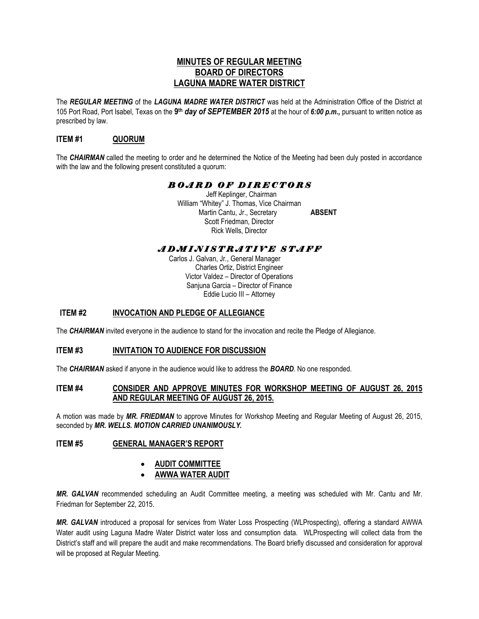# **MINUTES OF REGULAR MEETING BOARD OF DIRECTORS LAGUNA MADRE WATER DISTRICT**

The *REGULAR MEETING* of the *LAGUNA MADRE WATER DISTRICT* was held at the Administration Office of the District at 105 Port Road, Port Isabel, Texas on the **9 th** *day of SEPTEMBER 2015* at the hour of *6:00 p.m.,* pursuant to written notice as prescribed by law.

# **ITEM #1 QUORUM**

The *CHAIRMAN* called the meeting to order and he determined the Notice of the Meeting had been duly posted in accordance with the law and the following present constituted a quorum:

# *B O A R D O F D I R E C T O R S*

 Jeff Keplinger, Chairman William "Whitey" J. Thomas, Vice Chairman Martin Cantu, Jr., Secretary **ABSENT** Scott Friedman, Director Rick Wells, Director

# *A D M I N I S T R A T I V E S T A F F*

 Carlos J. Galvan, Jr., General Manager Charles Ortiz, District Engineer Victor Valdez – Director of Operations Sanjuna Garcia – Director of Finance Eddie Lucio III – Attorney

# **ITEM #2 INVOCATION AND PLEDGE OF ALLEGIANCE**

The *CHAIRMAN* invited everyone in the audience to stand for the invocation and recite the Pledge of Allegiance.

# **ITEM #3 INVITATION TO AUDIENCE FOR DISCUSSION**

The *CHAIRMAN* asked if anyone in the audience would like to address the *BOARD*. No one responded.

# **ITEM #4 CONSIDER AND APPROVE MINUTES FOR WORKSHOP MEETING OF AUGUST 26, 2015 AND REGULAR MEETING OF AUGUST 26, 2015.**

A motion was made by *MR. FRIEDMAN* to approve Minutes for Workshop Meeting and Regular Meeting of August 26, 2015, seconded by *MR. WELLS. MOTION CARRIED UNANIMOUSLY.* 

# **ITEM #5 GENERAL MANAGER'S REPORT**

# **AUDIT COMMITTEE**

# **AWWA WATER AUDIT**

*MR. GALVAN* recommended scheduling an Audit Committee meeting, a meeting was scheduled with Mr. Cantu and Mr. Friedman for September 22, 2015.

*MR. GALVAN* introduced a proposal for services from Water Loss Prospecting (WLProspecting), offering a standard AWWA Water audit using Laguna Madre Water District water loss and consumption data. WLProspecting will collect data from the District's staff and will prepare the audit and make recommendations. The Board briefly discussed and consideration for approval will be proposed at Regular Meeting.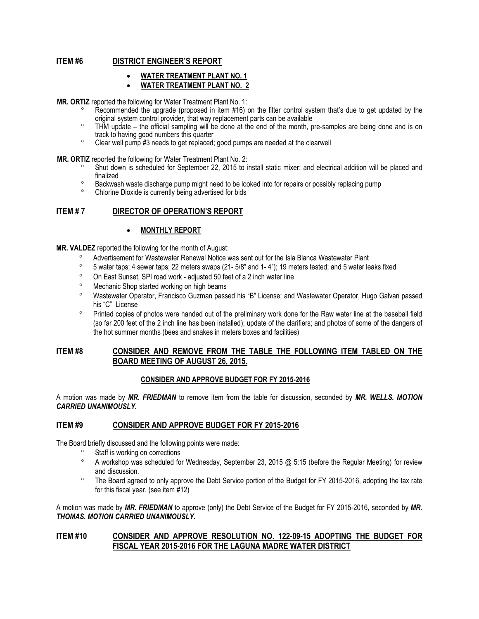# **ITEM #6 DISTRICT ENGINEER'S REPORT**

- **WATER TREATMENT PLANT NO. 1**
- **WATER TREATMENT PLANT NO. 2**

**MR. ORTIZ** reported the following for Water Treatment Plant No. 1:

- Recommended the upgrade (proposed in item #16) on the filter control system that's due to get updated by the original system control provider, that way replacement parts can be available
- THM update the official sampling will be done at the end of the month, pre-samples are being done and is on track to having good numbers this quarter
- Clear well pump #3 needs to get replaced; good pumps are needed at the clearwell

**MR. ORTIZ** reported the following for Water Treatment Plant No. 2:

- Shut down is scheduled for September 22, 2015 to install static mixer; and electrical addition will be placed and finalized
- <sup>o</sup> Backwash waste discharge pump might need to be looked into for repairs or possibly replacing pump
- Chlorine Dioxide is currently being advertised for bids

#### **ITEM # 7 DIRECTOR OF OPERATION'S REPORT**

#### **MONTHLY REPORT**

**MR. VALDEZ** reported the following for the month of August:

- Advertisement for Wastewater Renewal Notice was sent out for the Isla Blanca Wastewater Plant
- $\degree$  5 water taps; 4 sewer taps; 22 meters swaps (21- 5/8" and 1-4"); 19 meters tested; and 5 water leaks fixed
- On East Sunset, SPI road work adjusted 50 feet of a 2 inch water line
- Mechanic Shop started working on high beams
- Wastewater Operator, Francisco Guzman passed his "B" License; and Wastewater Operator, Hugo Galvan passed his "C" License
- <sup>o</sup> Printed copies of photos were handed out of the preliminary work done for the Raw water line at the baseball field (so far 200 feet of the 2 inch line has been installed); update of the clarifiers; and photos of some of the dangers of the hot summer months (bees and snakes in meters boxes and facilities)

#### **ITEM #8 CONSIDER AND REMOVE FROM THE TABLE THE FOLLOWING ITEM TABLED ON THE BOARD MEETING OF AUGUST 26, 2015.**

#### **CONSIDER AND APPROVE BUDGET FOR FY 2015-2016**

A motion was made by *MR. FRIEDMAN* to remove item from the table for discussion, seconded by *MR. WELLS. MOTION CARRIED UNANIMOUSLY.*

#### **ITEM #9 CONSIDER AND APPROVE BUDGET FOR FY 2015-2016**

The Board briefly discussed and the following points were made:

- <sup>o</sup> Staff is working on corrections
- $\degree$  A workshop was scheduled for Wednesday, September 23, 2015 @ 5:15 (before the Regular Meeting) for review and discussion.
- <sup>o</sup> The Board agreed to only approve the Debt Service portion of the Budget for FY 2015-2016, adopting the tax rate for this fiscal year. (see item #12)

A motion was made by *MR. FRIEDMAN* to approve (only) the Debt Service of the Budget for FY 2015-2016, seconded by *MR. THOMAS. MOTION CARRIED UNANIMOUSLY.* 

#### **ITEM #10 CONSIDER AND APPROVE RESOLUTION NO. 122-09-15 ADOPTING THE BUDGET FOR FISCAL YEAR 2015-2016 FOR THE LAGUNA MADRE WATER DISTRICT**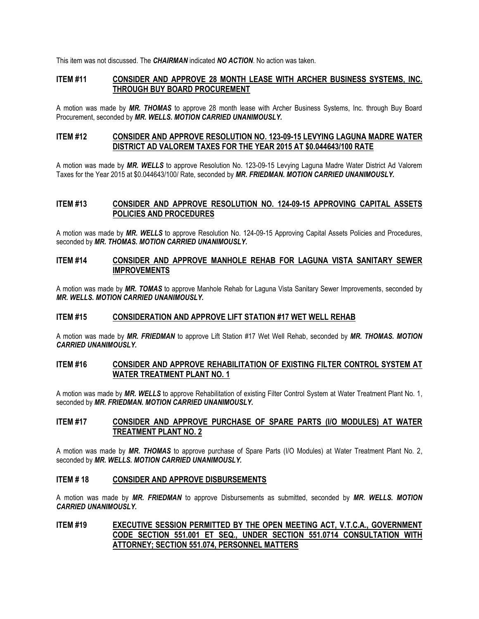This item was not discussed. The *CHAIRMAN* indicated *NO ACTION*. No action was taken.

# **ITEM #11 CONSIDER AND APPROVE 28 MONTH LEASE WITH ARCHER BUSINESS SYSTEMS, INC. THROUGH BUY BOARD PROCUREMENT**

A motion was made by *MR. THOMAS* to approve 28 month lease with Archer Business Systems, Inc. through Buy Board Procurement, seconded by *MR. WELLS. MOTION CARRIED UNANIMOUSLY.*

# **ITEM #12 CONSIDER AND APPROVE RESOLUTION NO. 123-09-15 LEVYING LAGUNA MADRE WATER DISTRICT AD VALOREM TAXES FOR THE YEAR 2015 AT \$0.044643/100 RATE**

A motion was made by *MR. WELLS* to approve Resolution No. 123-09-15 Levying Laguna Madre Water District Ad Valorem Taxes for the Year 2015 at \$0.044643/100/ Rate, seconded by *MR. FRIEDMAN. MOTION CARRIED UNANIMOUSLY.*

# **ITEM #13 CONSIDER AND APPROVE RESOLUTION NO. 124-09-15 APPROVING CAPITAL ASSETS POLICIES AND PROCEDURES**

A motion was made by *MR. WELLS* to approve Resolution No. 124-09-15 Approving Capital Assets Policies and Procedures, seconded by *MR. THOMAS. MOTION CARRIED UNANIMOUSLY.* 

#### **ITEM #14 CONSIDER AND APPROVE MANHOLE REHAB FOR LAGUNA VISTA SANITARY SEWER IMPROVEMENTS**

A motion was made by *MR. TOMAS* to approve Manhole Rehab for Laguna Vista Sanitary Sewer Improvements, seconded by *MR. WELLS. MOTION CARRIED UNANIMOUSLY.*

#### **ITEM #15 CONSIDERATION AND APPROVE LIFT STATION #17 WET WELL REHAB**

A motion was made by *MR. FRIEDMAN* to approve Lift Station #17 Wet Well Rehab, seconded by *MR. THOMAS. MOTION CARRIED UNANIMOUSLY.*

#### **ITEM #16 CONSIDER AND APPROVE REHABILITATION OF EXISTING FILTER CONTROL SYSTEM AT WATER TREATMENT PLANT NO. 1**

A motion was made by *MR. WELLS* to approve Rehabilitation of existing Filter Control System at Water Treatment Plant No. 1, seconded by *MR. FRIEDMAN. MOTION CARRIED UNANIMOUSLY.*

# **ITEM #17 CONSIDER AND APPROVE PURCHASE OF SPARE PARTS (I/O MODULES) AT WATER TREATMENT PLANT NO. 2**

A motion was made by *MR. THOMAS* to approve purchase of Spare Parts (I/O Modules) at Water Treatment Plant No. 2, seconded by *MR. WELLS. MOTION CARRIED UNANIMOUSLY.*

#### **ITEM # 18 CONSIDER AND APPROVE DISBURSEMENTS**

A motion was made by *MR. FRIEDMAN* to approve Disbursements as submitted, seconded by *MR. WELLS. MOTION CARRIED UNANIMOUSLY.*

# **ITEM #19 EXECUTIVE SESSION PERMITTED BY THE OPEN MEETING ACT, V.T.C.A., GOVERNMENT CODE SECTION 551.001 ET SEQ., UNDER SECTION 551.0714 CONSULTATION WITH ATTORNEY; SECTION 551.074, PERSONNEL MATTERS**